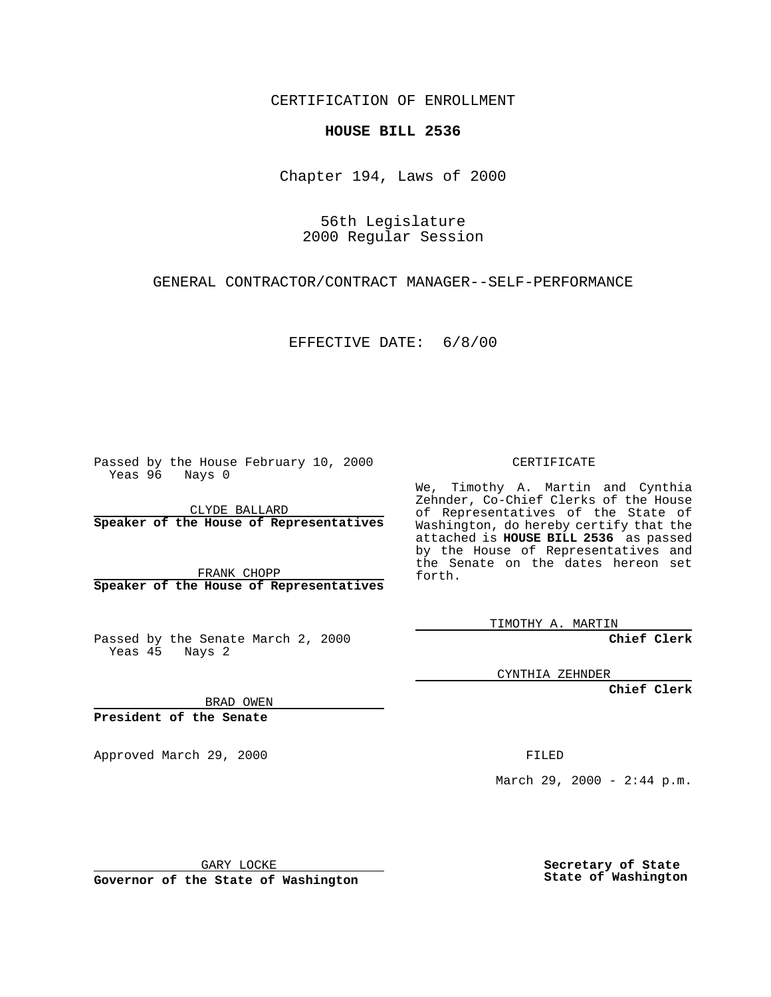CERTIFICATION OF ENROLLMENT

## **HOUSE BILL 2536**

Chapter 194, Laws of 2000

56th Legislature 2000 Regular Session

GENERAL CONTRACTOR/CONTRACT MANAGER--SELF-PERFORMANCE

EFFECTIVE DATE: 6/8/00

Passed by the House February 10, 2000 Yeas 96 Nays 0

CLYDE BALLARD **Speaker of the House of Representatives**

FRANK CHOPP **Speaker of the House of Representatives**

Passed by the Senate March 2, 2000 Yeas 45 Nays 2

CERTIFICATE

We, Timothy A. Martin and Cynthia Zehnder, Co-Chief Clerks of the House of Representatives of the State of Washington, do hereby certify that the attached is **HOUSE BILL 2536** as passed by the House of Representatives and the Senate on the dates hereon set forth.

TIMOTHY A. MARTIN

**Chief Clerk**

CYNTHIA ZEHNDER

**Chief Clerk**

BRAD OWEN

**President of the Senate**

Approved March 29, 2000 FILED

March 29, 2000 - 2:44 p.m.

GARY LOCKE

**Governor of the State of Washington**

**Secretary of State State of Washington**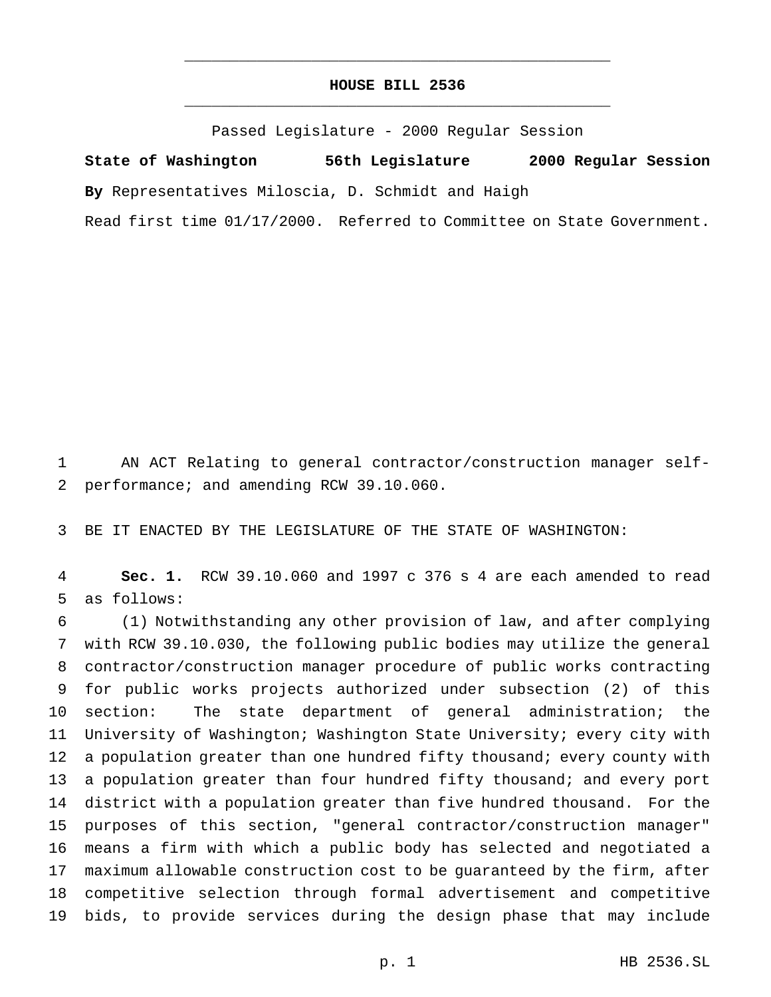## **HOUSE BILL 2536** \_\_\_\_\_\_\_\_\_\_\_\_\_\_\_\_\_\_\_\_\_\_\_\_\_\_\_\_\_\_\_\_\_\_\_\_\_\_\_\_\_\_\_\_\_\_\_

\_\_\_\_\_\_\_\_\_\_\_\_\_\_\_\_\_\_\_\_\_\_\_\_\_\_\_\_\_\_\_\_\_\_\_\_\_\_\_\_\_\_\_\_\_\_\_

Passed Legislature - 2000 Regular Session

**State of Washington 56th Legislature 2000 Regular Session By** Representatives Miloscia, D. Schmidt and Haigh

Read first time 01/17/2000. Referred to Committee on State Government.

 AN ACT Relating to general contractor/construction manager self-performance; and amending RCW 39.10.060.

BE IT ENACTED BY THE LEGISLATURE OF THE STATE OF WASHINGTON:

 **Sec. 1.** RCW 39.10.060 and 1997 c 376 s 4 are each amended to read as follows:

 (1) Notwithstanding any other provision of law, and after complying with RCW 39.10.030, the following public bodies may utilize the general contractor/construction manager procedure of public works contracting for public works projects authorized under subsection (2) of this section: The state department of general administration; the University of Washington; Washington State University; every city with 12 a population greater than one hundred fifty thousand; every county with 13 a population greater than four hundred fifty thousand; and every port district with a population greater than five hundred thousand. For the purposes of this section, "general contractor/construction manager" means a firm with which a public body has selected and negotiated a maximum allowable construction cost to be guaranteed by the firm, after competitive selection through formal advertisement and competitive bids, to provide services during the design phase that may include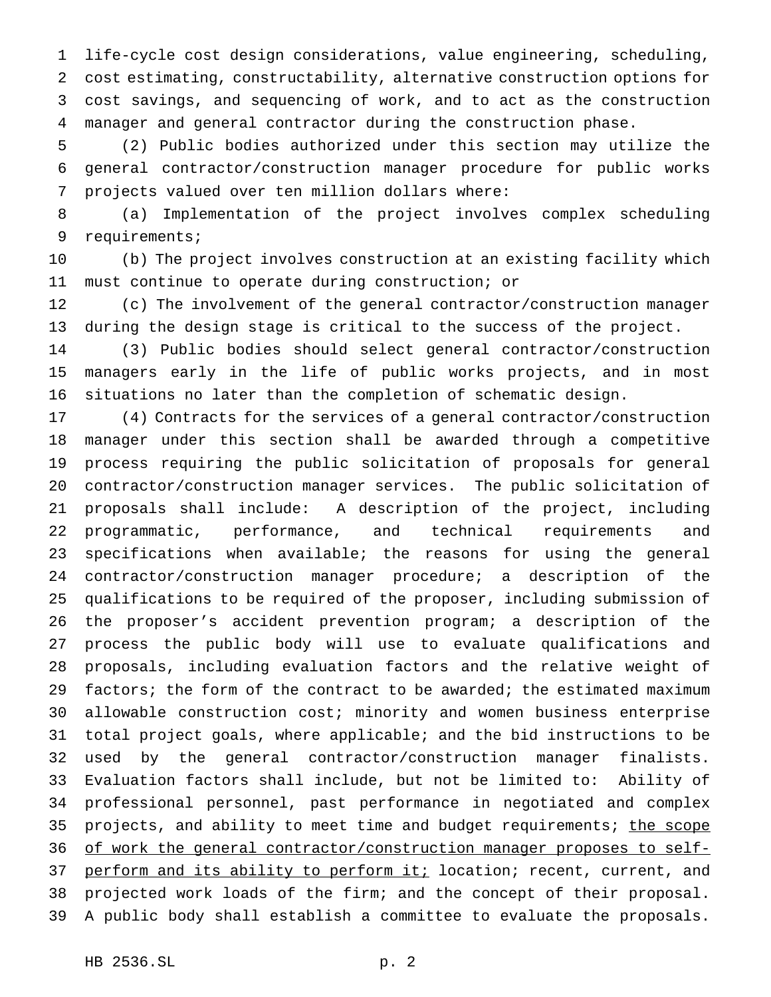life-cycle cost design considerations, value engineering, scheduling, cost estimating, constructability, alternative construction options for cost savings, and sequencing of work, and to act as the construction manager and general contractor during the construction phase.

 (2) Public bodies authorized under this section may utilize the general contractor/construction manager procedure for public works projects valued over ten million dollars where:

 (a) Implementation of the project involves complex scheduling requirements;

 (b) The project involves construction at an existing facility which must continue to operate during construction; or

 (c) The involvement of the general contractor/construction manager during the design stage is critical to the success of the project.

 (3) Public bodies should select general contractor/construction managers early in the life of public works projects, and in most situations no later than the completion of schematic design.

 (4) Contracts for the services of a general contractor/construction manager under this section shall be awarded through a competitive process requiring the public solicitation of proposals for general contractor/construction manager services. The public solicitation of proposals shall include: A description of the project, including programmatic, performance, and technical requirements and specifications when available; the reasons for using the general contractor/construction manager procedure; a description of the qualifications to be required of the proposer, including submission of the proposer's accident prevention program; a description of the process the public body will use to evaluate qualifications and proposals, including evaluation factors and the relative weight of factors; the form of the contract to be awarded; the estimated maximum allowable construction cost; minority and women business enterprise total project goals, where applicable; and the bid instructions to be used by the general contractor/construction manager finalists. Evaluation factors shall include, but not be limited to: Ability of professional personnel, past performance in negotiated and complex 35 projects, and ability to meet time and budget requirements; the scope of work the general contractor/construction manager proposes to self-37 perform and its ability to perform it; location; recent, current, and projected work loads of the firm; and the concept of their proposal. A public body shall establish a committee to evaluate the proposals.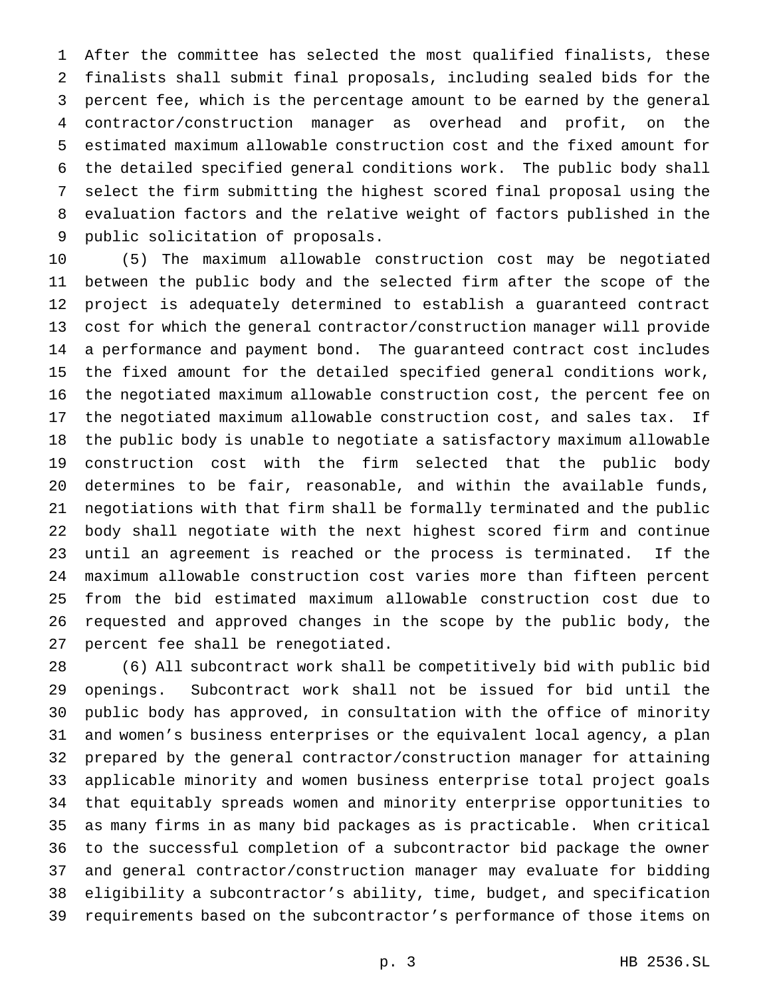After the committee has selected the most qualified finalists, these finalists shall submit final proposals, including sealed bids for the percent fee, which is the percentage amount to be earned by the general contractor/construction manager as overhead and profit, on the estimated maximum allowable construction cost and the fixed amount for the detailed specified general conditions work. The public body shall select the firm submitting the highest scored final proposal using the evaluation factors and the relative weight of factors published in the public solicitation of proposals.

 (5) The maximum allowable construction cost may be negotiated between the public body and the selected firm after the scope of the project is adequately determined to establish a guaranteed contract cost for which the general contractor/construction manager will provide a performance and payment bond. The guaranteed contract cost includes the fixed amount for the detailed specified general conditions work, the negotiated maximum allowable construction cost, the percent fee on the negotiated maximum allowable construction cost, and sales tax. If the public body is unable to negotiate a satisfactory maximum allowable construction cost with the firm selected that the public body determines to be fair, reasonable, and within the available funds, negotiations with that firm shall be formally terminated and the public body shall negotiate with the next highest scored firm and continue until an agreement is reached or the process is terminated. If the maximum allowable construction cost varies more than fifteen percent from the bid estimated maximum allowable construction cost due to requested and approved changes in the scope by the public body, the percent fee shall be renegotiated.

 (6) All subcontract work shall be competitively bid with public bid openings. Subcontract work shall not be issued for bid until the public body has approved, in consultation with the office of minority and women's business enterprises or the equivalent local agency, a plan prepared by the general contractor/construction manager for attaining applicable minority and women business enterprise total project goals that equitably spreads women and minority enterprise opportunities to as many firms in as many bid packages as is practicable. When critical to the successful completion of a subcontractor bid package the owner and general contractor/construction manager may evaluate for bidding eligibility a subcontractor's ability, time, budget, and specification requirements based on the subcontractor's performance of those items on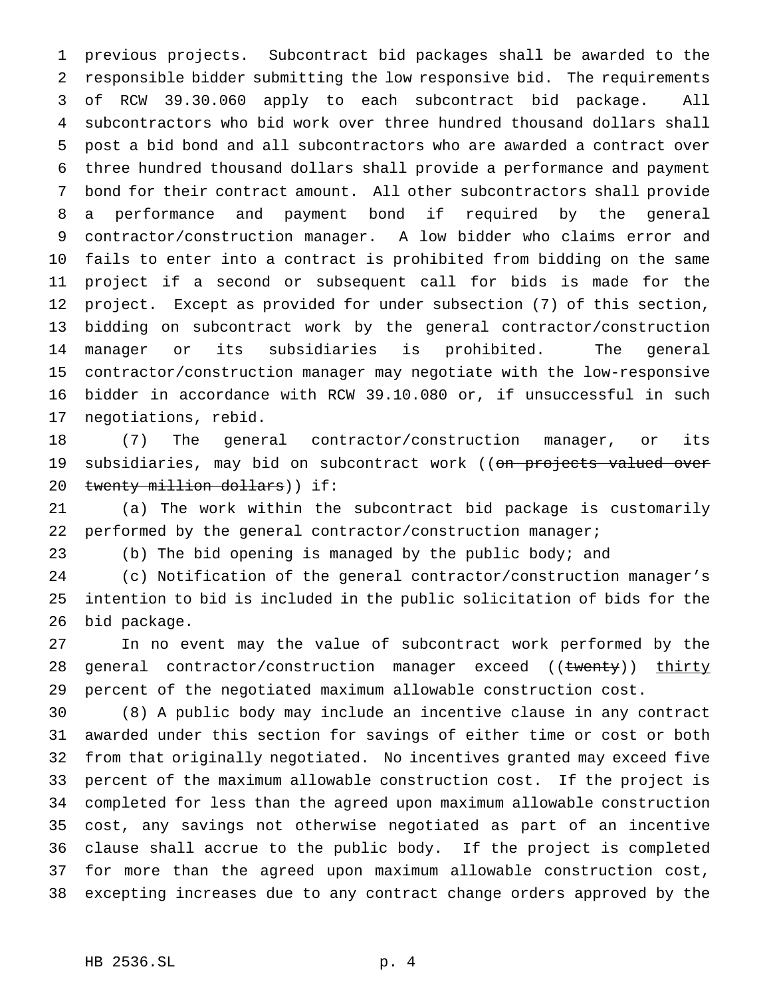previous projects. Subcontract bid packages shall be awarded to the responsible bidder submitting the low responsive bid. The requirements of RCW 39.30.060 apply to each subcontract bid package. All subcontractors who bid work over three hundred thousand dollars shall post a bid bond and all subcontractors who are awarded a contract over three hundred thousand dollars shall provide a performance and payment bond for their contract amount. All other subcontractors shall provide a performance and payment bond if required by the general contractor/construction manager. A low bidder who claims error and fails to enter into a contract is prohibited from bidding on the same project if a second or subsequent call for bids is made for the project. Except as provided for under subsection (7) of this section, bidding on subcontract work by the general contractor/construction manager or its subsidiaries is prohibited. The general contractor/construction manager may negotiate with the low-responsive bidder in accordance with RCW 39.10.080 or, if unsuccessful in such negotiations, rebid.

 (7) The general contractor/construction manager, or its 19 subsidiaries, may bid on subcontract work ((on projects valued over 20 twenty million dollars)) if:

 (a) The work within the subcontract bid package is customarily performed by the general contractor/construction manager;

(b) The bid opening is managed by the public body; and

 (c) Notification of the general contractor/construction manager's intention to bid is included in the public solicitation of bids for the bid package.

 In no event may the value of subcontract work performed by the 28 general contractor/construction manager exceed ((twenty)) thirty percent of the negotiated maximum allowable construction cost.

 (8) A public body may include an incentive clause in any contract awarded under this section for savings of either time or cost or both from that originally negotiated. No incentives granted may exceed five percent of the maximum allowable construction cost. If the project is completed for less than the agreed upon maximum allowable construction cost, any savings not otherwise negotiated as part of an incentive clause shall accrue to the public body. If the project is completed for more than the agreed upon maximum allowable construction cost, excepting increases due to any contract change orders approved by the